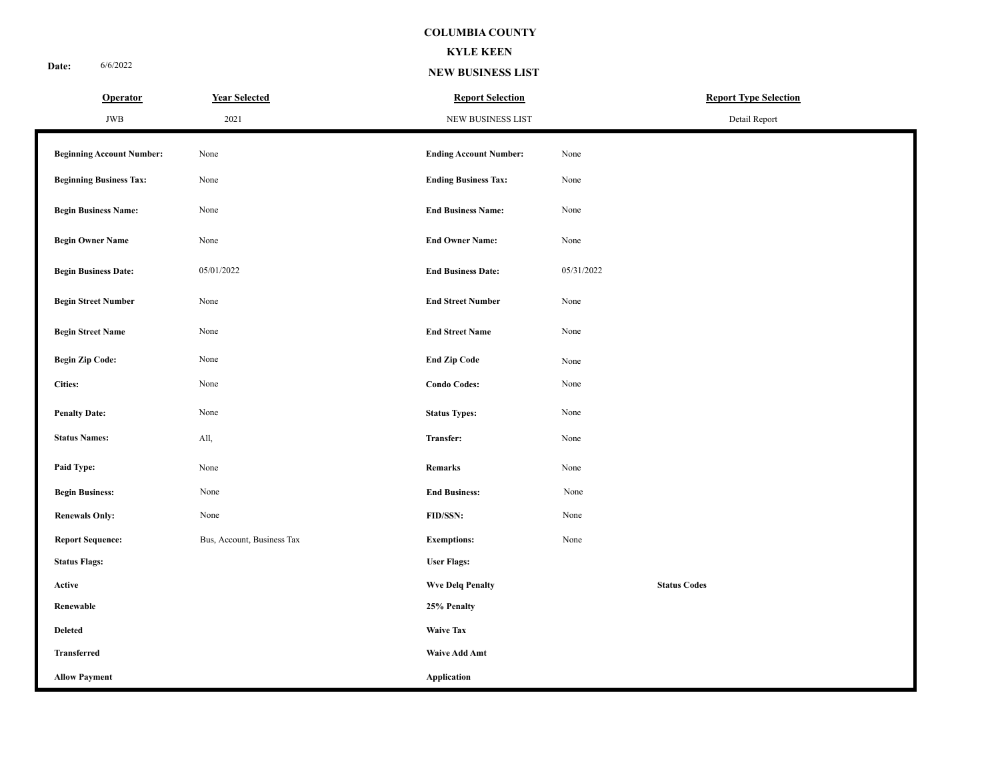#### **KYLE KEEN**

**NEW BUSINESS LIST**

| <b>Operator</b>                  | <b>Year Selected</b>       | <b>Report Selection</b>       | <b>Report Type Selection</b> |  |  |  |  |
|----------------------------------|----------------------------|-------------------------------|------------------------------|--|--|--|--|
| JWB                              | 2021                       | NEW BUSINESS LIST             | Detail Report                |  |  |  |  |
| <b>Beginning Account Number:</b> | None                       | <b>Ending Account Number:</b> | None                         |  |  |  |  |
| <b>Beginning Business Tax:</b>   | None                       | <b>Ending Business Tax:</b>   | None                         |  |  |  |  |
| <b>Begin Business Name:</b>      | None                       | <b>End Business Name:</b>     | None                         |  |  |  |  |
| <b>Begin Owner Name</b>          | None                       | <b>End Owner Name:</b>        | None                         |  |  |  |  |
| <b>Begin Business Date:</b>      | 05/01/2022                 | <b>End Business Date:</b>     | 05/31/2022                   |  |  |  |  |
| <b>Begin Street Number</b>       | None                       | <b>End Street Number</b>      | None                         |  |  |  |  |
| <b>Begin Street Name</b>         | None                       | <b>End Street Name</b>        | None                         |  |  |  |  |
| <b>Begin Zip Code:</b>           | None                       | <b>End Zip Code</b>           | None                         |  |  |  |  |
| <b>Cities:</b>                   | None                       | <b>Condo Codes:</b>           | None                         |  |  |  |  |
| <b>Penalty Date:</b>             | None                       | <b>Status Types:</b>          | None                         |  |  |  |  |
| <b>Status Names:</b>             | All,                       | Transfer:                     | None                         |  |  |  |  |
| Paid Type:                       | None                       | Remarks                       | None                         |  |  |  |  |
| <b>Begin Business:</b>           | None                       | <b>End Business:</b>          | None                         |  |  |  |  |
| <b>Renewals Only:</b>            | None                       | FID/SSN:                      | None                         |  |  |  |  |
| <b>Report Sequence:</b>          | Bus, Account, Business Tax | <b>Exemptions:</b>            | None                         |  |  |  |  |
| <b>Status Flags:</b>             |                            | <b>User Flags:</b>            |                              |  |  |  |  |
| Active                           |                            | <b>Wve Delq Penalty</b>       | <b>Status Codes</b>          |  |  |  |  |
| Renewable                        |                            | 25% Penalty                   |                              |  |  |  |  |
| <b>Deleted</b>                   |                            | <b>Waive Tax</b>              |                              |  |  |  |  |
| <b>Transferred</b>               |                            | <b>Waive Add Amt</b>          |                              |  |  |  |  |
| <b>Allow Payment</b>             |                            | Application                   |                              |  |  |  |  |

**Date:** 6/6/2022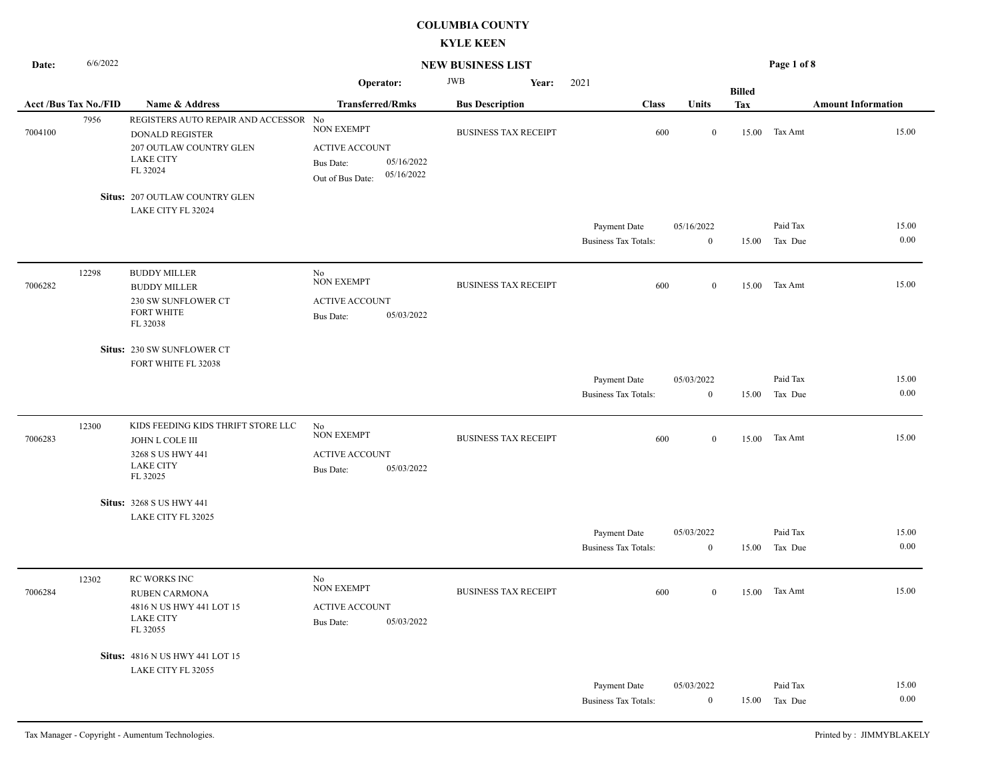| Date:   | 6/6/2022<br><b>NEW BUSINESS LIST</b> |                                                                                                                            |                                                                                                         |                             |                                             | Page 1 of 8                    |               |                     |                           |
|---------|--------------------------------------|----------------------------------------------------------------------------------------------------------------------------|---------------------------------------------------------------------------------------------------------|-----------------------------|---------------------------------------------|--------------------------------|---------------|---------------------|---------------------------|
|         |                                      |                                                                                                                            | Operator:                                                                                               | <b>JWB</b><br>Year:         | 2021                                        |                                | <b>Billed</b> |                     |                           |
|         | <b>Acct /Bus Tax No./FID</b>         | Name & Address                                                                                                             | <b>Transferred/Rmks</b>                                                                                 | <b>Bus Description</b>      | <b>Class</b>                                | Units                          | Tax           |                     | <b>Amount Information</b> |
| 7004100 | 7956                                 | REGISTERS AUTO REPAIR AND ACCESSOR No<br><b>DONALD REGISTER</b><br>207 OUTLAW COUNTRY GLEN<br><b>LAKE CITY</b><br>FL 32024 | <b>NON EXEMPT</b><br><b>ACTIVE ACCOUNT</b><br>05/16/2022<br>Bus Date:<br>05/16/2022<br>Out of Bus Date: | <b>BUSINESS TAX RECEIPT</b> | 600                                         | $\overline{0}$                 | 15.00         | Tax Amt             | 15.00                     |
|         |                                      | Situs: 207 OUTLAW COUNTRY GLEN                                                                                             |                                                                                                         |                             |                                             |                                |               |                     |                           |
|         |                                      | LAKE CITY FL 32024                                                                                                         |                                                                                                         |                             |                                             |                                |               |                     |                           |
|         |                                      |                                                                                                                            |                                                                                                         |                             | Payment Date<br><b>Business Tax Totals:</b> | 05/16/2022<br>$\mathbf{0}$     | 15.00         | Paid Tax<br>Tax Due | 15.00<br>0.00             |
| 7006282 | 12298                                | <b>BUDDY MILLER</b><br><b>BUDDY MILLER</b><br>230 SW SUNFLOWER CT<br><b>FORT WHITE</b><br>FL 32038                         | No<br><b>NON EXEMPT</b><br><b>ACTIVE ACCOUNT</b><br>05/03/2022<br><b>Bus Date:</b>                      | <b>BUSINESS TAX RECEIPT</b> | 600                                         | $\overline{0}$                 | 15.00         | Tax Amt             | 15.00                     |
|         |                                      | Situs: 230 SW SUNFLOWER CT<br>FORT WHITE FL 32038                                                                          |                                                                                                         |                             |                                             |                                |               |                     |                           |
|         |                                      |                                                                                                                            |                                                                                                         |                             | Payment Date                                | 05/03/2022                     |               | Paid Tax            | 15.00                     |
|         |                                      |                                                                                                                            |                                                                                                         |                             | <b>Business Tax Totals:</b>                 | $\mathbf{0}$                   | 15.00         | Tax Due             | 0.00                      |
| 7006283 | 12300                                | KIDS FEEDING KIDS THRIFT STORE LLC<br>JOHN L COLE III<br>3268 S US HWY 441<br><b>LAKE CITY</b><br>FL 32025                 | No<br><b>NON EXEMPT</b><br><b>ACTIVE ACCOUNT</b><br>05/03/2022<br><b>Bus Date:</b>                      | <b>BUSINESS TAX RECEIPT</b> | 600                                         | $\mathbf{0}$                   | 15.00         | Tax Amt             | 15.00                     |
|         |                                      | <b>Situs: 3268 S US HWY 441</b>                                                                                            |                                                                                                         |                             |                                             |                                |               |                     |                           |
|         |                                      | LAKE CITY FL 32025                                                                                                         |                                                                                                         |                             |                                             |                                |               |                     |                           |
|         |                                      |                                                                                                                            |                                                                                                         |                             | Payment Date<br><b>Business Tax Totals:</b> | 05/03/2022<br>$\boldsymbol{0}$ | 15.00         | Paid Tax<br>Tax Due | 15.00<br>0.00             |
| 7006284 | 12302                                | RC WORKS INC<br>RUBEN CARMONA<br>4816 N US HWY 441 LOT 15<br><b>LAKE CITY</b><br>FL 32055                                  | No<br><b>NON EXEMPT</b><br><b>ACTIVE ACCOUNT</b><br>05/03/2022<br>Bus Date:                             | <b>BUSINESS TAX RECEIPT</b> | 600                                         | $\mathbf{0}$                   | 15.00         | Tax Amt             | 15.00                     |
|         |                                      | Situs: 4816 N US HWY 441 LOT 15                                                                                            |                                                                                                         |                             |                                             |                                |               |                     |                           |
|         |                                      | LAKE CITY FL 32055                                                                                                         |                                                                                                         |                             |                                             |                                |               |                     |                           |
|         |                                      |                                                                                                                            |                                                                                                         |                             | Payment Date                                | 05/03/2022                     |               | Paid Tax            | 15.00                     |
|         |                                      |                                                                                                                            |                                                                                                         |                             | <b>Business Tax Totals:</b>                 | $\mathbf{0}$                   |               | 15.00 Tax Due       | 0.00                      |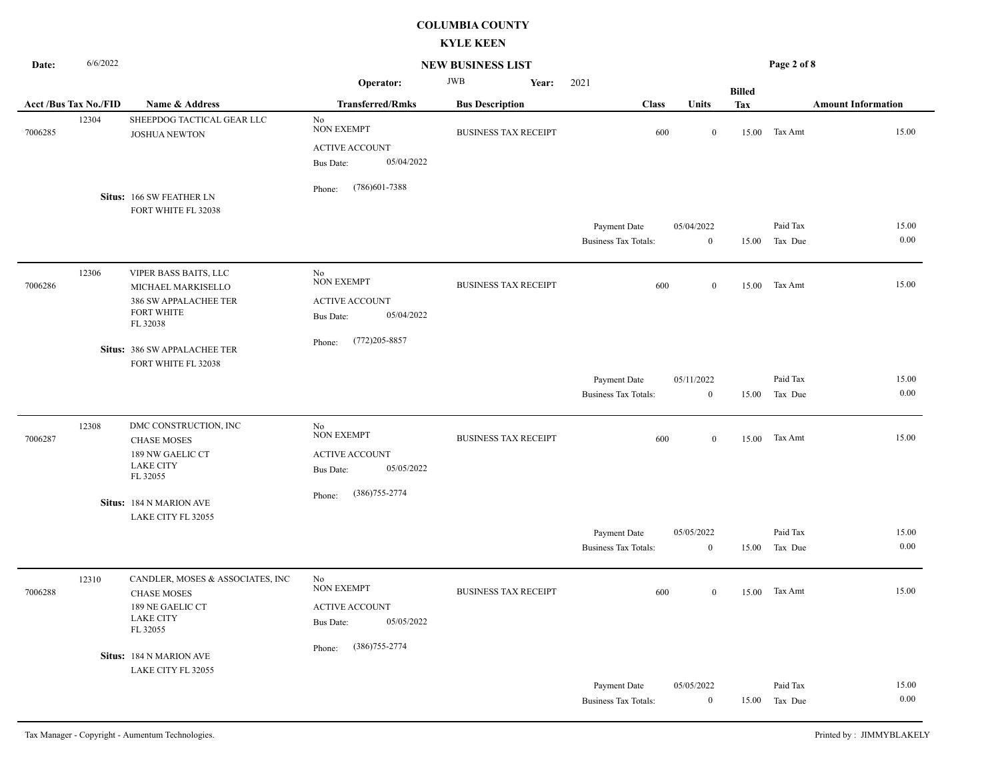| Date:   | 6/6/2022                    |                                                                                                              |                                                                                    | <b>NEW BUSINESS LIST</b>    |                                             |                                |               | Page 2 of 8         |                           |  |  |  |
|---------|-----------------------------|--------------------------------------------------------------------------------------------------------------|------------------------------------------------------------------------------------|-----------------------------|---------------------------------------------|--------------------------------|---------------|---------------------|---------------------------|--|--|--|
|         |                             |                                                                                                              | Operator:                                                                          | <b>JWB</b><br>Year:         | 2021                                        |                                | <b>Billed</b> |                     |                           |  |  |  |
|         | <b>Acct/Bus Tax No./FID</b> | Name & Address                                                                                               | <b>Transferred/Rmks</b>                                                            | <b>Bus Description</b>      | <b>Class</b>                                | Units                          | <b>Tax</b>    |                     | <b>Amount Information</b> |  |  |  |
| 7006285 | 12304                       | SHEEPDOG TACTICAL GEAR LLC<br><b>JOSHUA NEWTON</b>                                                           | No<br><b>NON EXEMPT</b><br><b>ACTIVE ACCOUNT</b><br>05/04/2022<br><b>Bus Date:</b> | <b>BUSINESS TAX RECEIPT</b> | 600                                         | $\mathbf{0}$                   |               | 15.00 Tax Amt       | 15.00                     |  |  |  |
|         |                             | Situs: 166 SW FEATHER LN<br>FORT WHITE FL 32038                                                              | $(786)601 - 7388$<br>Phone:                                                        |                             |                                             |                                |               |                     |                           |  |  |  |
|         |                             |                                                                                                              |                                                                                    |                             | Payment Date<br><b>Business Tax Totals:</b> | 05/04/2022<br>$\boldsymbol{0}$ | 15.00         | Paid Tax<br>Tax Due | 15.00<br>0.00             |  |  |  |
| 7006286 | 12306                       | <b>VIPER BASS BAITS, LLC</b><br>MICHAEL MARKISELLO<br>386 SW APPALACHEE TER<br><b>FORT WHITE</b><br>FL 32038 | No<br><b>NON EXEMPT</b><br><b>ACTIVE ACCOUNT</b><br>05/04/2022<br><b>Bus Date:</b> | <b>BUSINESS TAX RECEIPT</b> | 600                                         | $\bf{0}$                       | 15.00         | Tax Amt             | 15.00                     |  |  |  |
|         |                             | Situs: 386 SW APPALACHEE TER<br>FORT WHITE FL 32038                                                          | $(772)205 - 8857$<br>Phone:                                                        |                             |                                             |                                |               |                     |                           |  |  |  |
|         |                             |                                                                                                              |                                                                                    |                             | Payment Date<br><b>Business Tax Totals:</b> | 05/11/2022<br>$\mathbf{0}$     | 15.00         | Paid Tax<br>Tax Due | 15.00<br>0.00             |  |  |  |
| 7006287 | 12308                       | DMC CONSTRUCTION, INC<br><b>CHASE MOSES</b><br>189 NW GAELIC CT<br><b>LAKE CITY</b><br>FL 32055              | No<br><b>NON EXEMPT</b><br><b>ACTIVE ACCOUNT</b><br>05/05/2022<br><b>Bus Date:</b> | <b>BUSINESS TAX RECEIPT</b> | 600                                         | $\mathbf{0}$                   | 15.00         | Tax Amt             | 15.00                     |  |  |  |
|         |                             | Situs: 184 N MARION AVE<br>LAKE CITY FL 32055                                                                | $(386)755 - 2774$<br>Phone:                                                        |                             |                                             |                                |               |                     |                           |  |  |  |
|         |                             |                                                                                                              |                                                                                    |                             | Payment Date<br><b>Business Tax Totals:</b> | 05/05/2022<br>$\mathbf{0}$     | 15.00         | Paid Tax<br>Tax Due | 15.00<br>0.00             |  |  |  |
| 7006288 | 12310                       | CANDLER, MOSES & ASSOCIATES, INC<br><b>CHASE MOSES</b><br>189 NE GAELIC CT<br><b>LAKE CITY</b><br>FL 32055   | No<br><b>NON EXEMPT</b><br><b>ACTIVE ACCOUNT</b><br>05/05/2022<br><b>Bus Date:</b> | <b>BUSINESS TAX RECEIPT</b> | 600                                         | $\overline{0}$                 |               | 15.00 Tax Amt       | 15.00                     |  |  |  |
|         |                             | Situs: 184 N MARION AVE<br>LAKE CITY FL 32055                                                                | $(386)755 - 2774$<br>Phone:                                                        |                             |                                             |                                |               |                     |                           |  |  |  |
|         |                             |                                                                                                              |                                                                                    |                             | Payment Date<br><b>Business Tax Totals:</b> | 05/05/2022<br>$\bf{0}$         | 15.00         | Paid Tax<br>Tax Due | 15.00<br>0.00             |  |  |  |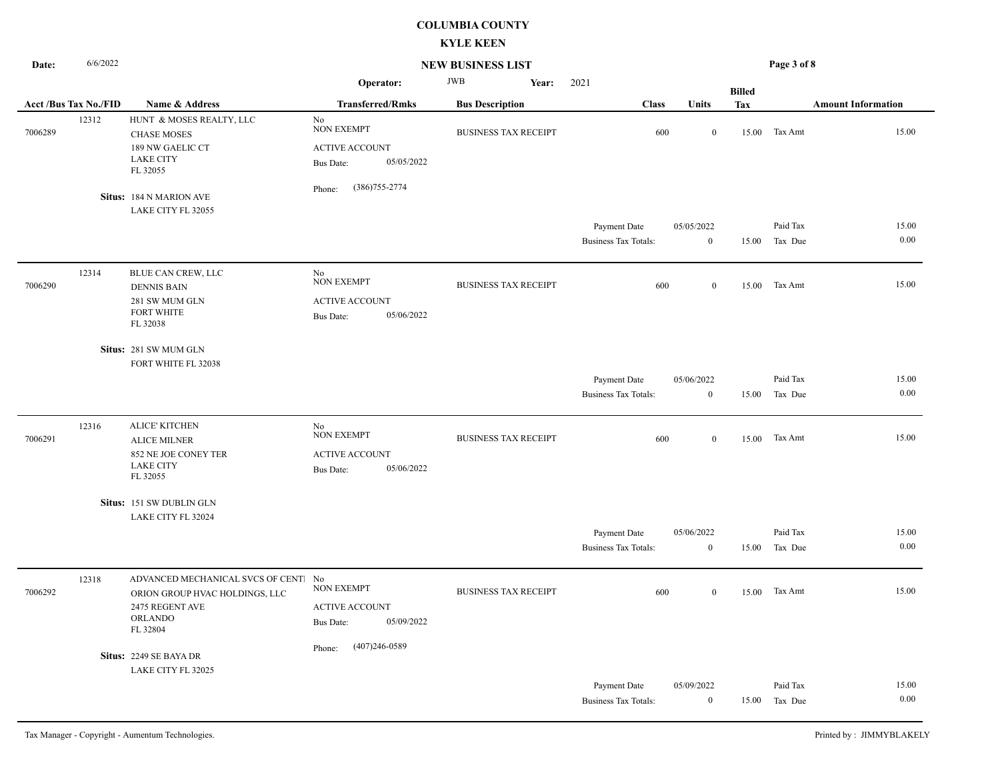| Date:   | 6/6/2022<br><b>NEW BUSINESS LIST</b> |                                                                                                               |                                                                                                                   |                             |                                             | Page 3 of 8                    |               |                     |                           |  |
|---------|--------------------------------------|---------------------------------------------------------------------------------------------------------------|-------------------------------------------------------------------------------------------------------------------|-----------------------------|---------------------------------------------|--------------------------------|---------------|---------------------|---------------------------|--|
|         |                                      |                                                                                                               | Operator:                                                                                                         | <b>JWB</b><br>Year:         | 2021                                        |                                | <b>Billed</b> |                     |                           |  |
|         | <b>Acct /Bus Tax No./FID</b>         | Name & Address                                                                                                | <b>Transferred/Rmks</b>                                                                                           | <b>Bus Description</b>      | <b>Class</b>                                | Units                          | <b>Tax</b>    |                     | <b>Amount Information</b> |  |
| 7006289 | 12312                                | HUNT & MOSES REALTY, LLC<br><b>CHASE MOSES</b><br>189 NW GAELIC CT<br><b>LAKE CITY</b><br>FL 32055            | No<br><b>NON EXEMPT</b><br><b>ACTIVE ACCOUNT</b><br>05/05/2022<br><b>Bus Date:</b><br>$(386)755 - 2774$<br>Phone: | <b>BUSINESS TAX RECEIPT</b> | 600                                         | $\overline{0}$                 |               | 15.00 Tax Amt       | 15.00                     |  |
|         |                                      | Situs: 184 N MARION AVE                                                                                       |                                                                                                                   |                             |                                             |                                |               |                     |                           |  |
|         |                                      | LAKE CITY FL 32055                                                                                            |                                                                                                                   |                             |                                             |                                |               |                     |                           |  |
|         |                                      |                                                                                                               |                                                                                                                   |                             | Payment Date<br><b>Business Tax Totals:</b> | 05/05/2022<br>$\boldsymbol{0}$ | 15.00         | Paid Tax<br>Tax Due | 15.00<br>0.00             |  |
| 7006290 | 12314                                | BLUE CAN CREW, LLC<br><b>DENNIS BAIN</b><br>281 SW MUM GLN<br>FORT WHITE<br>FL 32038                          | No<br><b>NON EXEMPT</b><br><b>ACTIVE ACCOUNT</b><br>05/06/2022<br>Bus Date:                                       | <b>BUSINESS TAX RECEIPT</b> | 600                                         | $\overline{0}$                 | 15.00         | Tax Amt             | 15.00                     |  |
|         |                                      | Situs: 281 SW MUM GLN<br>FORT WHITE FL 32038                                                                  |                                                                                                                   |                             |                                             |                                |               |                     |                           |  |
|         |                                      |                                                                                                               |                                                                                                                   |                             | Payment Date                                | 05/06/2022                     |               | Paid Tax            | 15.00                     |  |
|         |                                      |                                                                                                               |                                                                                                                   |                             | <b>Business Tax Totals:</b>                 | $\bf{0}$                       | 15.00         | Tax Due             | 0.00                      |  |
| 7006291 | 12316                                | <b>ALICE' KITCHEN</b><br><b>ALICE MILNER</b><br>852 NE JOE CONEY TER<br><b>LAKE CITY</b><br>FL 32055          | No<br><b>NON EXEMPT</b><br><b>ACTIVE ACCOUNT</b><br>05/06/2022<br><b>Bus Date:</b>                                | <b>BUSINESS TAX RECEIPT</b> | 600                                         | $\bf{0}$                       | 15.00         | Tax Amt             | 15.00                     |  |
|         |                                      | Situs: 151 SW DUBLIN GLN                                                                                      |                                                                                                                   |                             |                                             |                                |               |                     |                           |  |
|         |                                      | LAKE CITY FL 32024                                                                                            |                                                                                                                   |                             |                                             |                                |               |                     |                           |  |
|         |                                      |                                                                                                               |                                                                                                                   |                             | Payment Date                                | 05/06/2022                     |               | Paid Tax            | 15.00                     |  |
|         |                                      |                                                                                                               |                                                                                                                   |                             | <b>Business Tax Totals:</b>                 | $\bf{0}$                       | 15.00         | Tax Due             | $0.00\,$                  |  |
| 7006292 | 12318                                | ADVANCED MECHANICAL SVCS OF CENT!<br>ORION GROUP HVAC HOLDINGS, LLC<br>2475 REGENT AVE<br>ORLANDO<br>FL 32804 | No<br><b>NON EXEMPT</b><br><b>ACTIVE ACCOUNT</b><br>05/09/2022<br><b>Bus Date:</b><br>$(407)246 - 0589$           | <b>BUSINESS TAX RECEIPT</b> | 600                                         | $\bf{0}$                       |               | 15.00 Tax Amt       | 15.00                     |  |
|         |                                      | Situs: 2249 SE BAYA DR                                                                                        | Phone:                                                                                                            |                             |                                             |                                |               |                     |                           |  |
|         |                                      | LAKE CITY FL 32025                                                                                            |                                                                                                                   |                             |                                             |                                |               |                     |                           |  |
|         |                                      |                                                                                                               |                                                                                                                   |                             | Payment Date                                | 05/09/2022                     |               | Paid Tax            | 15.00                     |  |
|         |                                      |                                                                                                               |                                                                                                                   |                             | <b>Business Tax Totals:</b>                 | $\mathbf{0}$                   |               | 15.00 Tax Due       | 0.00                      |  |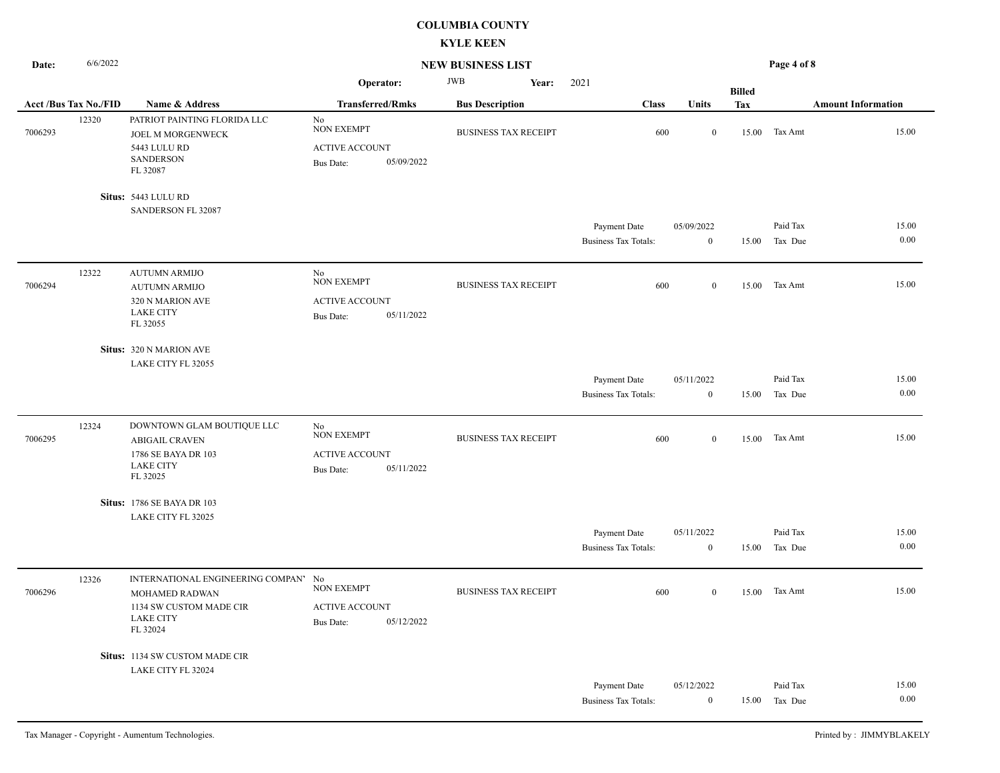| Date:                       | 6/6/2022 |                                                                                                                       | <b>NEW BUSINESS LIST</b>                                                           |                             |                                             | Page 4 of 8                    |               |                     |                           |
|-----------------------------|----------|-----------------------------------------------------------------------------------------------------------------------|------------------------------------------------------------------------------------|-----------------------------|---------------------------------------------|--------------------------------|---------------|---------------------|---------------------------|
|                             |          |                                                                                                                       | Operator:                                                                          | <b>JWB</b><br>Year:         | 2021                                        |                                | <b>Billed</b> |                     |                           |
| <b>Acct/Bus Tax No./FID</b> |          | Name & Address                                                                                                        | <b>Transferred/Rmks</b>                                                            | <b>Bus Description</b>      | <b>Class</b>                                | Units                          | <b>Tax</b>    |                     | <b>Amount Information</b> |
| 7006293                     | 12320    | PATRIOT PAINTING FLORIDA LLC<br>JOEL M MORGENWECK<br>5443 LULU RD<br><b>SANDERSON</b><br>FL 32087                     | No<br><b>NON EXEMPT</b><br><b>ACTIVE ACCOUNT</b><br>05/09/2022<br>Bus Date:        | <b>BUSINESS TAX RECEIPT</b> | 600                                         | $\mathbf{0}$                   |               | 15.00 Tax Amt       | 15.00                     |
|                             |          | Situs: 5443 LULU RD                                                                                                   |                                                                                    |                             |                                             |                                |               |                     |                           |
|                             |          | SANDERSON FL 32087                                                                                                    |                                                                                    |                             |                                             |                                |               |                     |                           |
|                             |          |                                                                                                                       |                                                                                    |                             | Payment Date<br><b>Business Tax Totals:</b> | 05/09/2022<br>$\overline{0}$   | 15.00         | Paid Tax<br>Tax Due | 15.00<br>0.00             |
| 7006294                     | 12322    | <b>AUTUMN ARMIJO</b><br><b>AUTUMN ARMIJO</b><br>320 N MARION AVE<br>LAKE CITY<br>FL 32055                             | No<br><b>NON EXEMPT</b><br><b>ACTIVE ACCOUNT</b><br>05/11/2022<br><b>Bus Date:</b> | <b>BUSINESS TAX RECEIPT</b> | 600                                         | $\overline{0}$                 | 15.00         | Tax Amt             | 15.00                     |
|                             |          | Situs: 320 N MARION AVE<br>LAKE CITY FL 32055                                                                         |                                                                                    |                             |                                             |                                |               |                     |                           |
|                             |          |                                                                                                                       |                                                                                    |                             | Payment Date                                | 05/11/2022                     |               | Paid Tax            | 15.00                     |
|                             |          |                                                                                                                       |                                                                                    |                             | <b>Business Tax Totals:</b>                 | $\mathbf{0}$                   | 15.00         | Tax Due             | 0.00                      |
| 7006295                     | 12324    | DOWNTOWN GLAM BOUTIQUE LLC<br><b>ABIGAIL CRAVEN</b><br>1786 SE BAYA DR 103<br><b>LAKE CITY</b><br>FL 32025            | No<br><b>NON EXEMPT</b><br><b>ACTIVE ACCOUNT</b><br>05/11/2022<br><b>Bus Date:</b> | <b>BUSINESS TAX RECEIPT</b> | 600                                         | $\mathbf{0}$                   |               | 15.00 Tax Amt       | 15.00                     |
|                             |          | <b>Situs: 1786 SE BAYA DR 103</b>                                                                                     |                                                                                    |                             |                                             |                                |               |                     |                           |
|                             |          | LAKE CITY FL 32025                                                                                                    |                                                                                    |                             |                                             |                                |               |                     |                           |
|                             |          |                                                                                                                       |                                                                                    |                             | Payment Date<br><b>Business Tax Totals:</b> | 05/11/2022<br>$\mathbf{0}$     | 15.00         | Paid Tax<br>Tax Due | 15.00<br>0.00             |
| 7006296                     | 12326    | INTERNATIONAL ENGINEERING COMPAN'<br><b>MOHAMED RADWAN</b><br>1134 SW CUSTOM MADE CIR<br><b>LAKE CITY</b><br>FL 32024 | No<br><b>NON EXEMPT</b><br><b>ACTIVE ACCOUNT</b><br>05/12/2022<br><b>Bus Date:</b> | <b>BUSINESS TAX RECEIPT</b> | 600                                         | $\bf{0}$                       |               | 15.00 Tax Amt       | 15.00                     |
|                             |          | Situs: 1134 SW CUSTOM MADE CIR                                                                                        |                                                                                    |                             |                                             |                                |               |                     |                           |
|                             |          | LAKE CITY FL 32024                                                                                                    |                                                                                    |                             | Payment Date<br><b>Business Tax Totals:</b> | 05/12/2022<br>$\boldsymbol{0}$ | 15.00         | Paid Tax<br>Tax Due | 15.00<br>0.00             |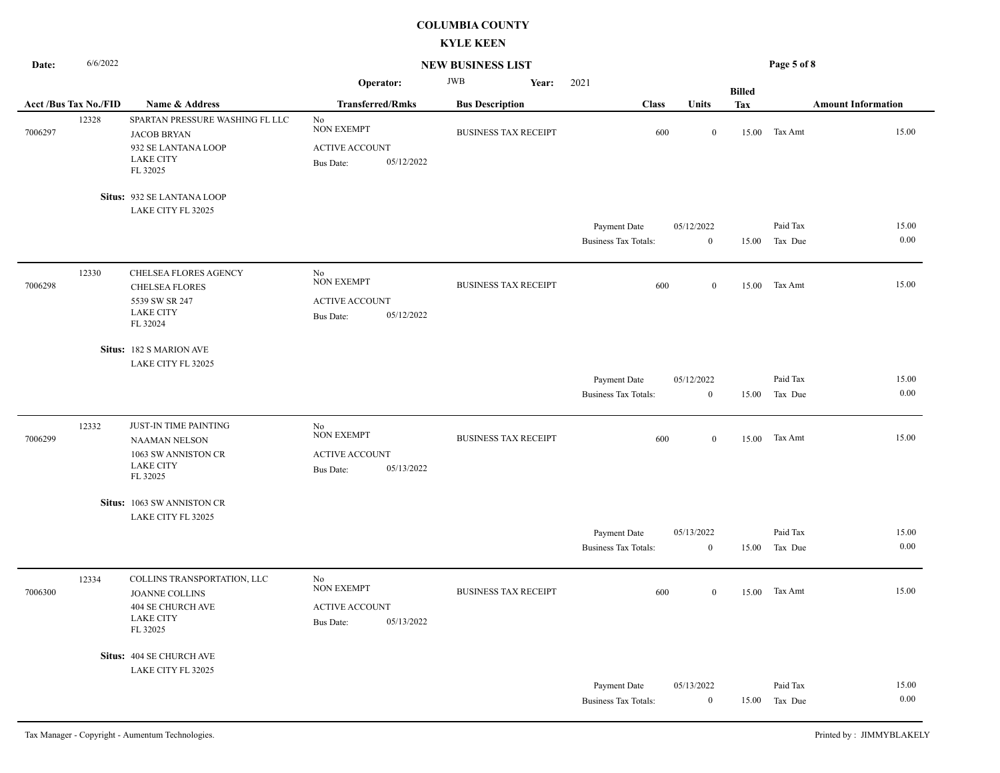| Date:                        | 6/6/2022 |                                                                                                              | <b>NEW BUSINESS LIST</b>                                                           |                             |                                             | Page 5 of 8                |               |                     |                           |
|------------------------------|----------|--------------------------------------------------------------------------------------------------------------|------------------------------------------------------------------------------------|-----------------------------|---------------------------------------------|----------------------------|---------------|---------------------|---------------------------|
|                              |          |                                                                                                              | Operator:                                                                          | <b>JWB</b><br>Year:         | 2021                                        |                            | <b>Billed</b> |                     |                           |
| <b>Acct /Bus Tax No./FID</b> |          | Name & Address                                                                                               | <b>Transferred/Rmks</b>                                                            | <b>Bus Description</b>      | <b>Class</b>                                | Units                      | Tax           |                     | <b>Amount Information</b> |
| 7006297                      | 12328    | SPARTAN PRESSURE WASHING FL LLC<br><b>JACOB BRYAN</b><br>932 SE LANTANA LOOP<br><b>LAKE CITY</b><br>FL 32025 | No<br><b>NON EXEMPT</b><br><b>ACTIVE ACCOUNT</b><br>05/12/2022<br><b>Bus Date:</b> | <b>BUSINESS TAX RECEIPT</b> | 600                                         | $\boldsymbol{0}$           |               | 15.00 Tax Amt       | 15.00                     |
|                              |          | Situs: 932 SE LANTANA LOOP                                                                                   |                                                                                    |                             |                                             |                            |               |                     |                           |
|                              |          | LAKE CITY FL 32025                                                                                           |                                                                                    |                             |                                             |                            |               |                     |                           |
|                              |          |                                                                                                              |                                                                                    |                             | Payment Date<br><b>Business Tax Totals:</b> | 05/12/2022<br>$\mathbf{0}$ | 15.00         | Paid Tax<br>Tax Due | 15.00<br>0.00             |
| 7006298                      | 12330    | CHELSEA FLORES AGENCY<br><b>CHELSEA FLORES</b><br>5539 SW SR 247<br><b>LAKE CITY</b><br>FL 32024             | No<br><b>NON EXEMPT</b><br><b>ACTIVE ACCOUNT</b><br>05/12/2022<br>Bus Date:        | <b>BUSINESS TAX RECEIPT</b> | 600                                         | $\mathbf{0}$               | 15.00         | Tax Amt             | 15.00                     |
|                              |          | Situs: 182 S MARION AVE                                                                                      |                                                                                    |                             |                                             |                            |               |                     |                           |
|                              |          | LAKE CITY FL 32025                                                                                           |                                                                                    |                             |                                             |                            |               |                     |                           |
|                              |          |                                                                                                              |                                                                                    |                             | Payment Date                                | 05/12/2022                 |               | Paid Tax            | 15.00                     |
|                              |          |                                                                                                              |                                                                                    |                             | <b>Business Tax Totals:</b>                 | $\boldsymbol{0}$           | 15.00         | Tax Due             | 0.00                      |
| 7006299                      | 12332    | JUST-IN TIME PAINTING<br><b>NAAMAN NELSON</b><br>1063 SW ANNISTON CR<br><b>LAKE CITY</b><br>FL 32025         | No<br><b>NON EXEMPT</b><br><b>ACTIVE ACCOUNT</b><br><b>Bus Date:</b><br>05/13/2022 | <b>BUSINESS TAX RECEIPT</b> | 600                                         | $\mathbf{0}$               | 15.00         | Tax Amt             | 15.00                     |
|                              |          | Situs: 1063 SW ANNISTON CR                                                                                   |                                                                                    |                             |                                             |                            |               |                     |                           |
|                              |          | LAKE CITY FL 32025                                                                                           |                                                                                    |                             |                                             |                            |               |                     |                           |
|                              |          |                                                                                                              |                                                                                    |                             | Payment Date                                | 05/13/2022                 |               | Paid Tax            | 15.00                     |
|                              |          |                                                                                                              |                                                                                    |                             | <b>Business Tax Totals:</b>                 | $\bf{0}$                   | 15.00         | Tax Due             | 0.00                      |
| 7006300                      | 12334    | COLLINS TRANSPORTATION, LLC<br><b>JOANNE COLLINS</b><br>404 SE CHURCH AVE<br><b>LAKE CITY</b><br>FL 32025    | No<br><b>NON EXEMPT</b><br><b>ACTIVE ACCOUNT</b><br>05/13/2022<br><b>Bus Date:</b> | <b>BUSINESS TAX RECEIPT</b> | 600                                         | $\mathbf{0}$               |               | 15.00 Tax Amt       | 15.00                     |
|                              |          | Situs: 404 SE CHURCH AVE                                                                                     |                                                                                    |                             |                                             |                            |               |                     |                           |
|                              |          | LAKE CITY FL 32025                                                                                           |                                                                                    |                             |                                             |                            |               |                     |                           |
|                              |          |                                                                                                              |                                                                                    |                             | Payment Date                                | 05/13/2022                 |               | Paid Tax            | 15.00<br>0.00             |
|                              |          |                                                                                                              |                                                                                    |                             | <b>Business Tax Totals:</b>                 | $\mathbf{0}$               | 15.00         | Tax Due             |                           |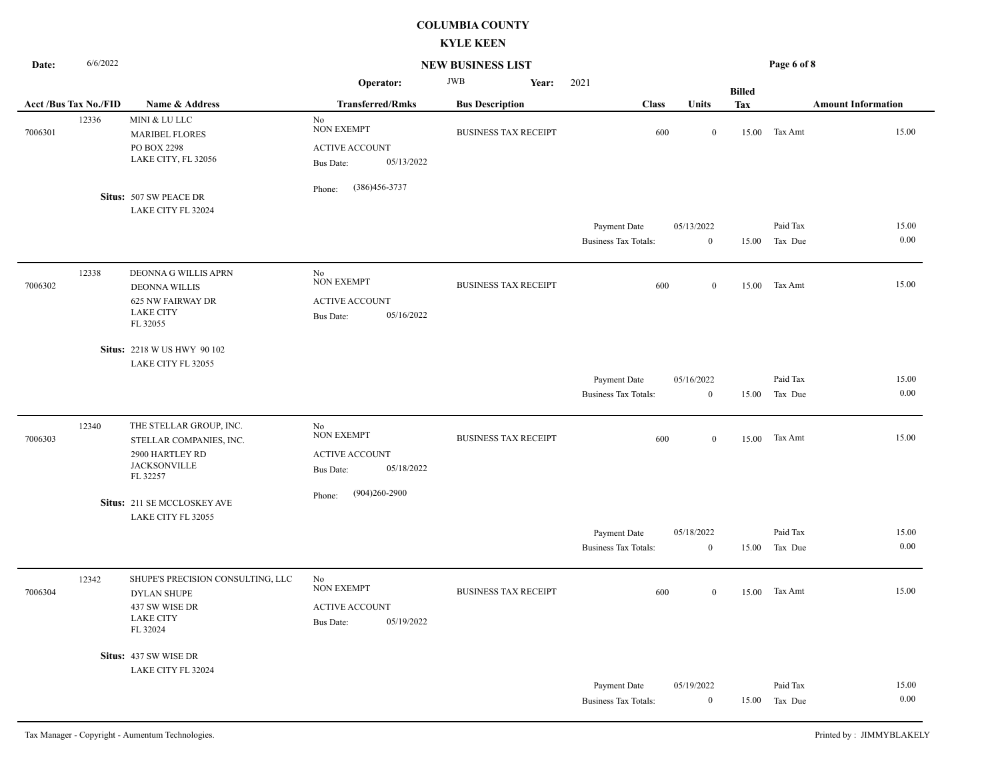| Date:   | 6/6/2022                    |                                                                                                           | <b>NEW BUSINESS LIST</b>                                                           |                             |                                             | Page 6 of 8                    |               |                     |                           |  |
|---------|-----------------------------|-----------------------------------------------------------------------------------------------------------|------------------------------------------------------------------------------------|-----------------------------|---------------------------------------------|--------------------------------|---------------|---------------------|---------------------------|--|
|         |                             |                                                                                                           | Operator:                                                                          | <b>JWB</b><br>Year:         | 2021                                        |                                | <b>Billed</b> |                     |                           |  |
|         | <b>Acct/Bus Tax No./FID</b> | Name & Address                                                                                            | <b>Transferred/Rmks</b>                                                            | <b>Bus Description</b>      | <b>Class</b>                                | Units                          | <b>Tax</b>    |                     | <b>Amount Information</b> |  |
| 7006301 | 12336                       | MINI & LU LLC<br><b>MARIBEL FLORES</b><br>PO BOX 2298<br>LAKE CITY, FL 32056                              | No<br><b>NON EXEMPT</b><br><b>ACTIVE ACCOUNT</b><br>05/13/2022<br>Bus Date:        | <b>BUSINESS TAX RECEIPT</b> | 600                                         | $\mathbf{0}$                   |               | 15.00 Tax Amt       | 15.00                     |  |
|         |                             | Situs: 507 SW PEACE DR                                                                                    | (386)456-3737<br>Phone:                                                            |                             |                                             |                                |               |                     |                           |  |
|         |                             | LAKE CITY FL 32024                                                                                        |                                                                                    |                             | Payment Date<br><b>Business Tax Totals:</b> | 05/13/2022<br>$\bf{0}$         | 15.00         | Paid Tax<br>Tax Due | 15.00<br>0.00             |  |
| 7006302 | 12338                       | DEONNA G WILLIS APRN<br><b>DEONNA WILLIS</b><br><b>625 NW FAIRWAY DR</b><br><b>LAKE CITY</b><br>FL 32055  | No<br><b>NON EXEMPT</b><br>ACTIVE ACCOUNT<br>05/16/2022<br><b>Bus Date:</b>        | <b>BUSINESS TAX RECEIPT</b> | 600                                         | $\overline{0}$                 | 15.00         | Tax Amt             | 15.00                     |  |
|         |                             | Situs: 2218 W US HWY 90 102<br>LAKE CITY FL 32055                                                         |                                                                                    |                             |                                             |                                |               |                     |                           |  |
|         |                             |                                                                                                           |                                                                                    |                             | Payment Date                                | 05/16/2022                     |               | Paid Tax            | 15.00                     |  |
|         |                             |                                                                                                           |                                                                                    |                             | <b>Business Tax Totals:</b>                 | $\bf{0}$                       | 15.00         | Tax Due             | 0.00                      |  |
| 7006303 | 12340                       | THE STELLAR GROUP, INC.<br>STELLAR COMPANIES, INC.<br>2900 HARTLEY RD<br><b>JACKSONVILLE</b><br>FL 32257  | No<br><b>NON EXEMPT</b><br><b>ACTIVE ACCOUNT</b><br>05/18/2022<br><b>Bus Date:</b> | <b>BUSINESS TAX RECEIPT</b> | 600                                         | $\mathbf{0}$                   | 15.00         | Tax Amt             | 15.00                     |  |
|         |                             | Situs: 211 SE MCCLOSKEY AVE<br>LAKE CITY FL 32055                                                         | $(904)260 - 2900$<br>Phone:                                                        |                             |                                             |                                |               |                     |                           |  |
|         |                             |                                                                                                           |                                                                                    |                             | Payment Date<br><b>Business Tax Totals:</b> | 05/18/2022<br>$\boldsymbol{0}$ | 15.00         | Paid Tax<br>Tax Due | 15.00<br>0.00             |  |
| 7006304 | 12342                       | SHUPE'S PRECISION CONSULTING, LLC<br><b>DYLAN SHUPE</b><br>437 SW WISE DR<br><b>LAKE CITY</b><br>FL 32024 | No<br><b>NON EXEMPT</b><br><b>ACTIVE ACCOUNT</b><br>05/19/2022<br><b>Bus Date:</b> | <b>BUSINESS TAX RECEIPT</b> | 600                                         | $\mathbf{0}$                   | 15.00         | Tax Amt             | 15.00                     |  |
|         |                             | Situs: 437 SW WISE DR<br>LAKE CITY FL 32024                                                               |                                                                                    |                             |                                             |                                |               |                     |                           |  |
|         |                             |                                                                                                           |                                                                                    |                             | Payment Date<br><b>Business Tax Totals:</b> | 05/19/2022<br>$\bf{0}$         | 15.00         | Paid Tax<br>Tax Due | 15.00<br>0.00             |  |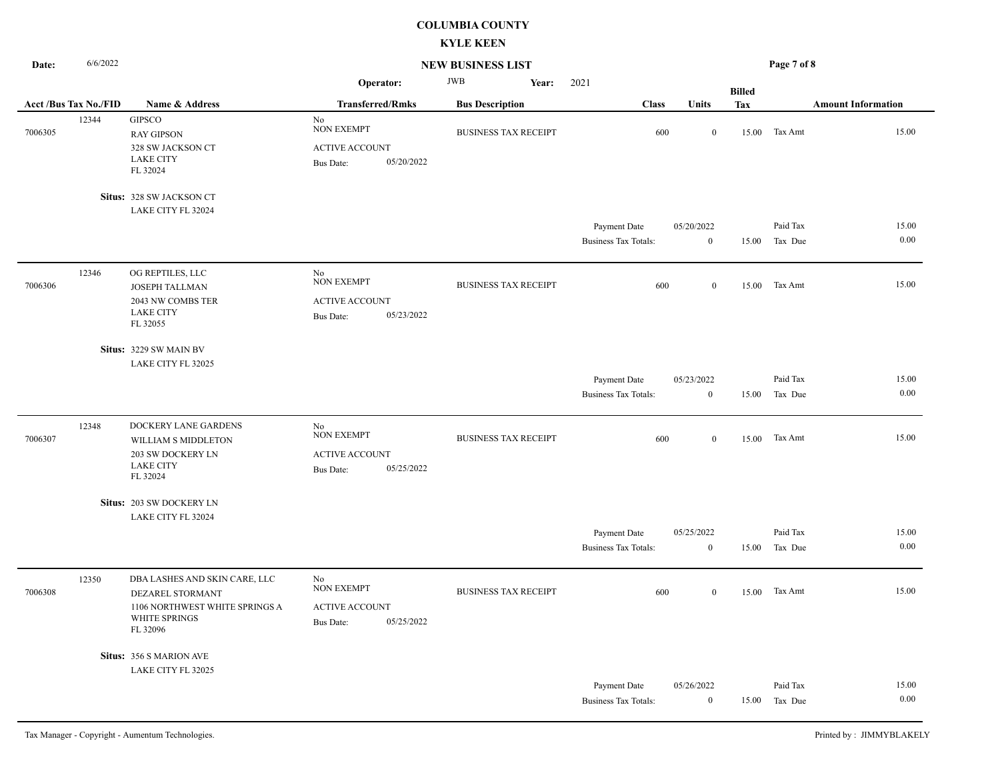| 6/6/2022<br><b>NEW BUSINESS LIST</b><br>Date: |                              |                                                                                                                  |                                                                                    |                             | Page 7 of 8                                 |                                |               |                     |                           |
|-----------------------------------------------|------------------------------|------------------------------------------------------------------------------------------------------------------|------------------------------------------------------------------------------------|-----------------------------|---------------------------------------------|--------------------------------|---------------|---------------------|---------------------------|
|                                               |                              |                                                                                                                  | Operator:                                                                          | <b>JWB</b><br>Year:         | 2021                                        |                                | <b>Billed</b> |                     |                           |
|                                               | <b>Acct /Bus Tax No./FID</b> | Name & Address                                                                                                   | <b>Transferred/Rmks</b>                                                            | <b>Bus Description</b>      | <b>Class</b>                                | Units                          | <b>Tax</b>    |                     | <b>Amount Information</b> |
| 7006305                                       | 12344                        | <b>GIPSCO</b><br><b>RAY GIPSON</b><br>328 SW JACKSON CT<br><b>LAKE CITY</b><br>FL 32024                          | No<br>NON EXEMPT<br><b>ACTIVE ACCOUNT</b><br>05/20/2022<br><b>Bus Date:</b>        | <b>BUSINESS TAX RECEIPT</b> | 600                                         | $\mathbf{0}$                   | 15.00         | Tax Amt             | 15.00                     |
|                                               |                              | Situs: 328 SW JACKSON CT                                                                                         |                                                                                    |                             |                                             |                                |               |                     |                           |
|                                               |                              | LAKE CITY FL 32024                                                                                               |                                                                                    |                             |                                             |                                |               |                     |                           |
|                                               |                              |                                                                                                                  |                                                                                    |                             | Payment Date<br><b>Business Tax Totals:</b> | 05/20/2022<br>$\overline{0}$   | 15.00         | Paid Tax<br>Tax Due | 15.00<br>0.00             |
| 7006306                                       | 12346                        | OG REPTILES, LLC<br>JOSEPH TALLMAN<br>2043 NW COMBS TER<br><b>LAKE CITY</b><br>FL 32055                          | No<br><b>NON EXEMPT</b><br><b>ACTIVE ACCOUNT</b><br>05/23/2022<br><b>Bus Date:</b> | <b>BUSINESS TAX RECEIPT</b> | 600                                         | $\mathbf{0}$                   | 15.00         | Tax Amt             | 15.00                     |
|                                               |                              | Situs: 3229 SW MAIN BV                                                                                           |                                                                                    |                             |                                             |                                |               |                     |                           |
|                                               |                              | LAKE CITY FL 32025                                                                                               |                                                                                    |                             |                                             |                                |               |                     |                           |
|                                               |                              |                                                                                                                  |                                                                                    |                             | Payment Date<br><b>Business Tax Totals:</b> | 05/23/2022<br>$\mathbf{0}$     | 15.00         | Paid Tax<br>Tax Due | 15.00<br>0.00             |
| 7006307                                       | 12348                        | DOCKERY LANE GARDENS<br>WILLIAM S MIDDLETON<br>203 SW DOCKERY LN<br><b>LAKE CITY</b><br>FL 32024                 | No<br><b>NON EXEMPT</b><br><b>ACTIVE ACCOUNT</b><br>05/25/2022<br><b>Bus Date:</b> | <b>BUSINESS TAX RECEIPT</b> | 600                                         | $\mathbf{0}$                   | 15.00         | Tax Amt             | 15.00                     |
|                                               |                              | Situs: 203 SW DOCKERY LN                                                                                         |                                                                                    |                             |                                             |                                |               |                     |                           |
|                                               |                              | LAKE CITY FL 32024                                                                                               |                                                                                    |                             |                                             |                                |               |                     |                           |
|                                               |                              |                                                                                                                  |                                                                                    |                             | Payment Date<br><b>Business Tax Totals:</b> | 05/25/2022<br>$\boldsymbol{0}$ | 15.00         | Paid Tax<br>Tax Due | 15.00<br>0.00             |
| 7006308                                       | 12350                        | DBA LASHES AND SKIN CARE, LLC<br>DEZAREL STORMANT<br>1106 NORTHWEST WHITE SPRINGS A<br>WHITE SPRINGS<br>FL 32096 | No<br><b>NON EXEMPT</b><br><b>ACTIVE ACCOUNT</b><br>05/25/2022<br><b>Bus Date:</b> | <b>BUSINESS TAX RECEIPT</b> | 600                                         | $\mathbf{0}$                   | 15.00         | Tax Amt             | 15.00                     |
|                                               |                              | Situs: 356 S MARION AVE                                                                                          |                                                                                    |                             |                                             |                                |               |                     |                           |
|                                               |                              | LAKE CITY FL 32025                                                                                               |                                                                                    |                             |                                             |                                |               |                     |                           |
|                                               |                              |                                                                                                                  |                                                                                    |                             | Payment Date                                | 05/26/2022                     |               | Paid Tax            | 15.00<br>0.00             |
|                                               |                              |                                                                                                                  |                                                                                    |                             | <b>Business Tax Totals:</b>                 | $\mathbf{0}$                   | 15.00         | Tax Due             |                           |